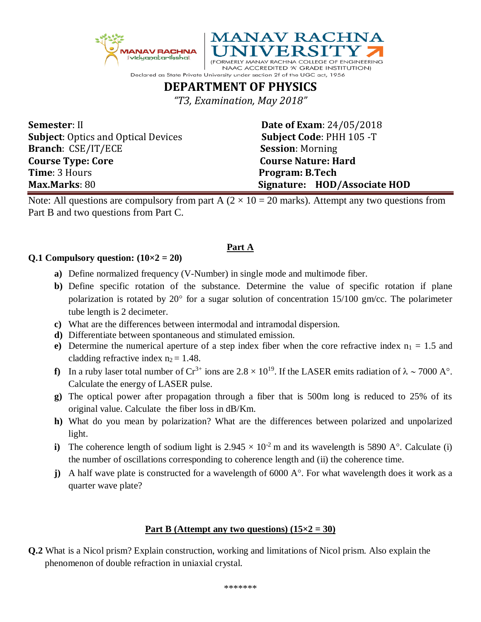



NAAC ACCREDITED 'A' GRADE INSTITUTION) Declared as State Private University under section 2f of the UGC act, 1956

# **DEPARTMENT OF PHYSICS**

*"T3, Examination, May 2018"*

**Semester**: II **Date of Exam**: 24/05/2018 **Subject**: Optics and Optical Devices **Subject Code**: PHH 105 -T **Branch**: CSE/IT/ECE **Session**: Morning **Course Type: Core** Course Nature: Hard **Time**: 3 Hours **Program: B.Tech Max.Marks**: 80 **Signature: HOD/Associate HOD**

Note: All questions are compulsory from part A  $(2 \times 10 = 20$  marks). Attempt any two questions from Part B and two questions from Part C.

### **Part A**

### **Q.1 Compulsory question:**  $(10 \times 2 = 20)$

- **a)** Define normalized frequency (V-Number) in single mode and multimode fiber.
- **b)** Define specific rotation of the substance. Determine the value of specific rotation if plane polarization is rotated by  $20^{\circ}$  for a sugar solution of concentration 15/100 gm/cc. The polarimeter tube length is 2 decimeter.
- **c)** What are the differences between intermodal and intramodal dispersion.
- **d)** Differentiate between spontaneous and stimulated emission.
- **e**) Determine the numerical aperture of a step index fiber when the core refractive index  $n_1 = 1.5$  and cladding refractive index  $n_2 = 1.48$ .
- **f)** In a ruby laser total number of  $Cr^{3+}$  ions are  $2.8 \times 10^{19}$ . If the LASER emits radiation of  $\lambda \sim 7000$  A°. Calculate the energy of LASER pulse.
- **g)** The optical power after propagation through a fiber that is 500m long is reduced to 25% of its original value. Calculate the fiber loss in dB/Km.
- **h)** What do you mean by polarization? What are the differences between polarized and unpolarized light.
- **i**) The coherence length of sodium light is  $2.945 \times 10^{-2}$  m and its wavelength is 5890 A°. Calculate (i) the number of oscillations corresponding to coherence length and (ii) the coherence time.
- **j**) A half wave plate is constructed for a wavelength of  $6000 \text{ A}^{\circ}$ . For what wavelength does it work as a quarter wave plate?

## **Part B (Attempt any two questions) (15×2 = 30)**

**Q.2** What is a Nicol prism? Explain construction, working and limitations of Nicol prism. Also explain the phenomenon of double refraction in uniaxial crystal.